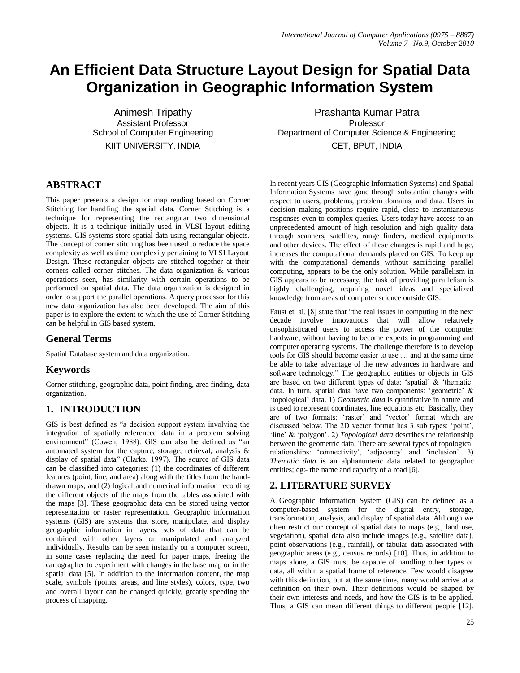# **An Efficient Data Structure Layout Design for Spatial Data Organization in Geographic Information System**

Animesh Tripathy Assistant Professor School of Computer Engineering KIIT UNIVERSITY, INDIA

# **ABSTRACT**

This paper presents a design for map reading based on Corner Stitching for handling the spatial data. Corner Stitching is a technique for representing the rectangular two dimensional objects. It is a technique initially used in VLSI layout editing systems. GIS systems store spatial data using rectangular objects. The concept of corner stitching has been used to reduce the space complexity as well as time complexity pertaining to VLSI Layout Design. These rectangular objects are stitched together at their corners called corner stitches. The data organization & various operations seen, has similarity with certain operations to be performed on spatial data. The data organization is designed in order to support the parallel operations. A query processor for this new data organization has also been developed. The aim of this paper is to explore the extent to which the use of Corner Stitching can be helpful in GIS based system.

## **General Terms**

Spatial Database system and data organization.

# **Keywords**

Corner stitching, geographic data, point finding, area finding, data organization.

# **1. INTRODUCTION**

GIS is best defined as "a decision support system involving the integration of spatially referenced data in a problem solving environment" (Cowen, 1988). GIS can also be defined as "an automated system for the capture, storage, retrieval, analysis & display of spatial data" (Clarke, 1997). The source of GIS data can be classified into categories: (1) the coordinates of different features (point, line, and area) along with the titles from the handdrawn maps, and (2) logical and numerical information recording the different objects of the maps from the tables associated with the maps [3]. These geographic data can be stored using vector representation or raster representation. Geographic information systems (GIS) are systems that store, manipulate, and display geographic information in layers, sets of data that can be combined with other layers or manipulated and analyzed individually. Results can be seen instantly on a computer screen, in some cases replacing the need for paper maps, freeing the cartographer to experiment with changes in the base map or in the spatial data [5]. In addition to the information content, the map scale, symbols (points, areas, and line styles), colors, type, two and overall layout can be changed quickly, greatly speeding the process of mapping.

Prashanta Kumar Patra Professor Department of Computer Science & Engineering CET, BPUT, INDIA

In recent years GIS (Geographic Information Systems) and Spatial Information Systems have gone through substantial changes with respect to users, problems, problem domains, and data. Users in decision making positions require rapid, close to instantaneous responses even to complex queries. Users today have access to an unprecedented amount of high resolution and high quality data through scanners, satellites, range finders, medical equipments and other devices. The effect of these changes is rapid and huge, increases the computational demands placed on GIS. To keep up with the computational demands without sacrificing parallel computing, appears to be the only solution. While parallelism in GIS appears to be necessary, the task of providing parallelism is highly challenging, requiring novel ideas and specialized knowledge from areas of computer science outside GIS.

Faust et. al. [8] state that "the real issues in computing in the next decade involve innovations that will allow relatively unsophisticated users to access the power of the computer hardware, without having to become experts in programming and computer operating systems. The challenge therefore is to develop tools for GIS should become easier to use … and at the same time be able to take advantage of the new advances in hardware and software technology." The geographic entities or objects in GIS are based on two different types of data: "spatial" & "thematic" data. In turn, spatial data have two components: "geometric" & "topological" data. 1) *Geometric data* is quantitative in nature and is used to represent coordinates, line equations etc. Basically, they are of two formats: 'raster' and 'vector' format which are discussed below. The 2D vector format has 3 sub types: "point", 'line' & 'polygon'. 2) *Topological data* describes the relationship between the geometric data. There are several types of topological relationships: 'connectivity', 'adjacency' and 'inclusion'. 3) *Thematic data* is an alphanumeric data related to geographic entities; eg:- the name and capacity of a road [6].

# **2. LITERATURE SURVEY**

A Geographic Information System (GIS) can be defined as a computer-based system for the digital entry, storage, transformation, analysis, and display of spatial data. Although we often restrict our concept of spatial data to maps (e.g., land use, vegetation), spatial data also include images (e.g., satellite data), point observations (e.g., rainfall), or tabular data associated with geographic areas (e.g., census records) [10]. Thus, in addition to maps alone, a GIS must be capable of handling other types of data, all within a spatial frame of reference. Few would disagree with this definition, but at the same time, many would arrive at a definition on their own. Their definitions would be shaped by their own interests and needs, and how the GIS is to be applied. Thus, a GIS can mean different things to different people [12].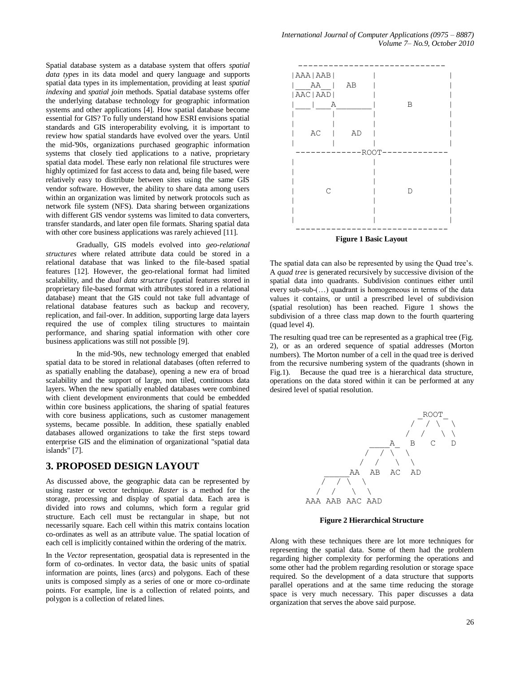Spatial database system as a database system that offers *spatial data types* in its data model and query language and supports spatial data types in its implementation, providing at least *spatial indexing* and *spatial join* methods. Spatial database systems offer the underlying database technology for geographic information systems and other applications [4]. How spatial database become essential for GIS? To fully understand how ESRI envisions spatial standards and GIS interoperability evolving, it is important to review how spatial standards have evolved over the years. Until the mid-'90s, organizations purchased geographic information systems that closely tied applications to a native, proprietary spatial data model. These early non relational file structures were highly optimized for fast access to data and, being file based, were relatively easy to distribute between sites using the same GIS vendor software. However, the ability to share data among users within an organization was limited by network protocols such as network file system (NFS). Data sharing between organizations with different GIS vendor systems was limited to data converters, transfer standards, and later open file formats. Sharing spatial data with other core business applications was rarely achieved [11].

Gradually, GIS models evolved into *geo-relational structures* where related attribute data could be stored in a relational database that was linked to the file-based spatial features [12]. However, the geo-relational format had limited scalability, and the *dual data structure* (spatial features stored in proprietary file-based format with attributes stored in a relational database) meant that the GIS could not take full advantage of relational database features such as backup and recovery, replication, and fail-over. In addition, supporting large data layers required the use of complex tiling structures to maintain performance, and sharing spatial information with other core business applications was still not possible [9].

In the mid-'90s, new technology emerged that enabled spatial data to be stored in relational databases (often referred to as spatially enabling the database), opening a new era of broad scalability and the support of large, non tiled, continuous data layers. When the new spatially enabled databases were combined with client development environments that could be embedded within core business applications, the sharing of spatial features with core business applications, such as customer management systems, became possible. In addition, these spatially enabled databases allowed organizations to take the first steps toward enterprise GIS and the elimination of organizational "spatial data islands" [7].

#### **3. PROPOSED DESIGN LAYOUT**

As discussed above, the geographic data can be represented by using raster or vector technique. *Raster* is a method for the storage, processing and display of spatial data. Each area is divided into rows and columns, which form a regular grid structure. Each cell must be rectangular in shape, but not necessarily square. Each cell within this matrix contains location co-ordinates as well as an attribute value. The spatial location of each cell is implicitly contained within the ordering of the matrix.

In the *Vector* representation, geospatial data is represented in the form of co-ordinates. In vector data, the basic units of spatial information are points, lines (arcs) and polygons. Each of these units is composed simply as a series of one or more co-ordinate points. For example, line is a collection of related points, and polygon is a collection of related lines.



The spatial data can also be represented by using the Quad tree's. A *quad tree* is generated recursively by successive division of the spatial data into quadrants. Subdivision continues either until every sub-sub-(...) quadrant is homogeneous in terms of the data values it contains, or until a prescribed level of subdivision (spatial resolution) has been reached. Figure 1 shows the

(quad level 4). The resulting quad tree can be represented as a graphical tree (Fig. 2), or as an ordered sequence of spatial addresses (Morton numbers). The Morton number of a cell in the quad tree is derived from the recursive numbering system of the quadrants (shown in Fig.1). Because the quad tree is a hierarchical data structure, operations on the data stored within it can be performed at any desired level of spatial resolution.

subdivision of a three class map down to the fourth quartering



**Figure 2 Hierarchical Structure**

Along with these techniques there are lot more techniques for representing the spatial data. Some of them had the problem regarding higher complexity for performing the operations and some other had the problem regarding resolution or storage space required. So the development of a data structure that supports parallel operations and at the same time reducing the storage space is very much necessary. This paper discusses a data organization that serves the above said purpose.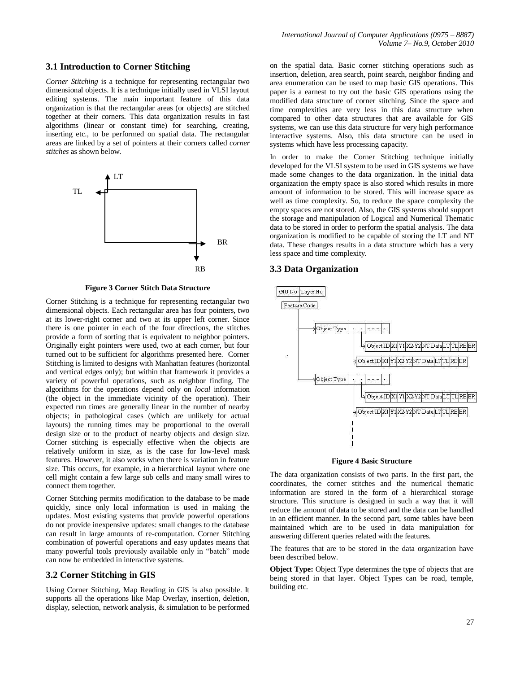#### **3.1 Introduction to Corner Stitching**

*Corner Stitching* is a technique for representing rectangular two dimensional objects. It is a technique initially used in VLSI layout editing systems. The main important feature of this data organization is that the rectangular areas (or objects) are stitched together at their corners. This data organization results in fast algorithms (linear or constant time) for searching, creating, inserting etc., to be performed on spatial data. The rectangular areas are linked by a set of pointers at their corners called *corner stitches* as shown below*.*



**Figure 3 Corner Stitch Data Structure**

Corner Stitching is a technique for representing rectangular two dimensional objects. Each rectangular area has four pointers, two at its lower-right corner and two at its upper left corner. Since there is one pointer in each of the four directions, the stitches provide a form of sorting that is equivalent to neighbor pointers. Originally eight pointers were used, two at each corner, but four turned out to be sufficient for algorithms presented here. Corner Stitching is limited to designs with Manhattan features (horizontal and vertical edges only); but within that framework it provides a variety of powerful operations, such as neighbor finding. The algorithms for the operations depend only on *local* information (the object in the immediate vicinity of the operation). Their expected run times are generally linear in the number of nearby objects; in pathological cases (which are unlikely for actual layouts) the running times may be proportional to the overall design size or to the product of nearby objects and design size. Corner stitching is especially effective when the objects are relatively uniform in size, as is the case for low-level mask features. However, it also works when there is variation in feature size. This occurs, for example, in a hierarchical layout where one cell might contain a few large sub cells and many small wires to connect them together.

Corner Stitching permits modification to the database to be made quickly, since only local information is used in making the updates. Most existing systems that provide powerful operations do not provide inexpensive updates: small changes to the database can result in large amounts of re-computation. Corner Stitching combination of powerful operations and easy updates means that many powerful tools previously available only in "batch" mode can now be embedded in interactive systems.

## **3.2 Corner Stitching in GIS**

Using Corner Stitching, Map Reading in GIS is also possible. It supports all the operations like Map Overlay, insertion, deletion, display, selection, network analysis, & simulation to be performed

on the spatial data. Basic corner stitching operations such as insertion, deletion, area search, point search, neighbor finding and area enumeration can be used to map basic GIS operations. This paper is a earnest to try out the basic GIS operations using the modified data structure of corner stitching. Since the space and time complexities are very less in this data structure when compared to other data structures that are available for GIS systems, we can use this data structure for very high performance interactive systems. Also, this data structure can be used in systems which have less processing capacity.

In order to make the Corner Stitching technique initially developed for the VLSI system to be used in GIS systems we have made some changes to the data organization. In the initial data organization the empty space is also stored which results in more amount of information to be stored. This will increase space as well as time complexity. So, to reduce the space complexity the empty spaces are not stored. Also, the GIS systems should support the storage and manipulation of Logical and Numerical Thematic data to be stored in order to perform the spatial analysis. The data organization is modified to be capable of storing the LT and NT data. These changes results in a data structure which has a very less space and time complexity.

#### **3.3 Data Organization**





The data organization consists of two parts. In the first part, the coordinates, the corner stitches and the numerical thematic information are stored in the form of a hierarchical storage structure. This structure is designed in such a way that it will reduce the amount of data to be stored and the data can be handled in an efficient manner. In the second part, some tables have been maintained which are to be used in data manipulation for answering different queries related with the features.

The features that are to be stored in the data organization have been described below.

**Object Type:** Object Type determines the type of objects that are being stored in that layer. Object Types can be road, temple, building etc.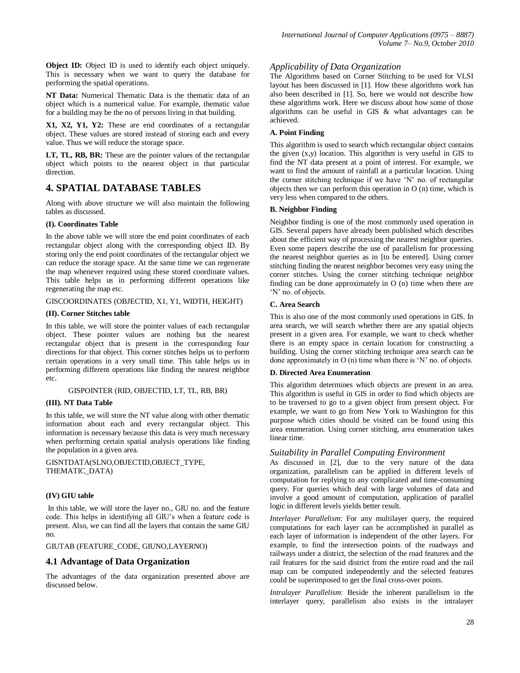**Object ID:** Object ID is used to identify each object uniquely. This is necessary when we want to query the database for performing the spatial operations.

**NT Data:** Numerical Thematic Data is the thematic data of an object which is a numerical value. For example, thematic value for a building may be the no of persons living in that building.

**X1, X2, Y1, Y2:** These are end coordinates of a rectangular object. These values are stored instead of storing each and every value. Thus we will reduce the storage space.

**LT, TL, RB, BR:** These are the pointer values of the rectangular object which points to the nearest object in that particular direction.

# **4. SPATIAL DATABASE TABLES**

Along with above structure we will also maintain the following tables as discussed.

## **(I). Coordinates Table**

In the above table we will store the end point coordinates of each rectangular object along with the corresponding object ID. By storing only the end point coordinates of the rectangular object we can reduce the storage space. At the same time we can regenerate the map whenever required using these stored coordinate values. This table helps us in performing different operations like regenerating the map etc.

## GISCOORDINATES (OBJECTID, X1, Y1, WIDTH, HEIGHT)

## **(II). Corner Stitches table**

In this table, we will store the pointer values of each rectangular object. These pointer values are nothing but the nearest rectangular object that is present in the corresponding four directions for that object. This corner stitches helps us to perform certain operations in a very small time. This table helps us in performing different operations like finding the nearest neighbor etc.

## GISPOINTER (RID, OBJECTID, LT, TL, RB, BR)

## **(III). NT Data Table**

In this table, we will store the NT value along with other thematic information about each and every rectangular object. This information is necessary because this data is very much necessary when performing certain spatial analysis operations like finding the population in a given area.

GISNTDATA(SLNO,OBJECTID,OBJECT\_TYPE, THEMATIC\_DATA)

## **(IV) GIU table**

In this table, we will store the layer no., GIU no. and the feature code. This helps in identifying all GIU"s when a feature code is present. Also, we can find all the layers that contain the same GIU no.

GIUTAB (FEATURE\_CODE, GIUNO,LAYERNO)

## **4.1 Advantage of Data Organization**

The advantages of the data organization presented above are discussed below.

## *Applicability of Data Organization*

The Algorithms based on Corner Stitching to be used for VLSI layout has been discussed in [1]. How these algorithms work has also been described in [1]. So, here we would not describe how these algorithms work. Here we discuss about how some of those algorithms can be useful in GIS & what advantages can be achieved.

## **A. Point Finding**

This algorithm is used to search which rectangular object contains the given (x,y) location. This algorithm is very useful in GIS to find the NT data present at a point of interest. For example, we want to find the amount of rainfall at a particular location. Using the corner stitching technique if we have "N" no. of rectangular objects then we can perform this operation in O (n) time, which is very less when compared to the others.

## **B. Neighbor Finding**

Neighbor finding is one of the most commonly used operation in GIS. Several papers have already been published which describes about the efficient way of processing the nearest neighbor queries. Even some papers describe the use of parallelism for processing the nearest neighbor queries as in [to be entered]. Using corner stitching finding the nearest neighbor becomes very easy using the corner stitches. Using the corner stitching technique neighbor finding can be done approximately in O (n) time when there are 'N' no. of objects.

## **C. Area Search**

This is also one of the most commonly used operations in GIS. In area search, we will search whether there are any spatial objects present in a given area. For example, we want to check whether there is an empty space in certain location for constructing a building. Using the corner stitching technique area search can be done approximately in O (n) time when there is "N" no. of objects.

## **D. Directed Area Enumeration**

This algorithm determines which objects are present in an area. This algorithm is useful in GIS in order to find which objects are to be traversed to go to a given object from present object. For example, we want to go from New York to Washington for this purpose which cities should be visited can be found using this area enumeration. Using corner stitching, area enumeration takes linear time.

## *Suitability in Parallel Computing Environment*

As discussed in [2], due to the very nature of the data organization, parallelism can be applied in different levels of computation for replying to any complicated and time-consuming query. For queries which deal with large volumes of data and involve a good amount of computation, application of parallel logic in different levels yields better result.

*Interlayer Parallelism*: For any multilayer query, the required computations for each layer can be accomplished in parallel as each layer of information is independent of the other layers. For example, to find the intersection points of the roadways and railways under a district, the selection of the road features and the rail features for the said district from the entire road and the rail map can be computed independently and the selected features could be superimposed to get the final cross-over points.

*Intralayer Parallelism*: Beside the inherent parallelism in the interlayer query, parallelism also exists in the intralayer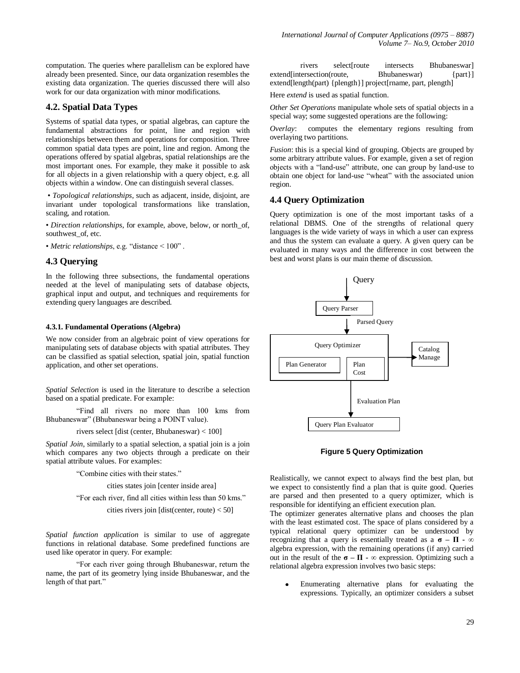computation. The queries where parallelism can be explored have already been presented. Since, our data organization resembles the existing data organization. The queries discussed there will also work for our data organization with minor modifications.

## **4.2. Spatial Data Types**

Systems of spatial data types, or spatial algebras, can capture the fundamental abstractions for point, line and region with relationships between them and operations for composition. Three common spatial data types are point, line and region. Among the operations offered by spatial algebras, spatial relationships are the most important ones. For example, they make it possible to ask for all objects in a given relationship with a query object, e.g. all objects within a window. One can distinguish several classes.

• *Topological relationships*, such as adjacent, inside, disjoint, are invariant under topological transformations like translation, scaling, and rotation.

• *Direction relationships*, for example, above, below, or north\_of, southwest\_of, etc.

• *Metric relationships*, e.g. "distance < 100" .

#### **4.3 Querying**

In the following three subsections, the fundamental operations needed at the level of manipulating sets of database objects, graphical input and output, and techniques and requirements for extending query languages are described.

#### **4.3.1. Fundamental Operations (Algebra)**

We now consider from an algebraic point of view operations for manipulating sets of database objects with spatial attributes. They can be classified as spatial selection, spatial join, spatial function application, and other set operations.

*Spatial Selection* is used in the literature to describe a selection based on a spatial predicate. For example:

"Find all rivers no more than 100 kms from Bhubaneswar" (Bhubaneswar being a POINT value).

rivers select [dist (center, Bhubaneswar) < 100]

*Spatial Join*, similarly to a spatial selection, a spatial join is a join which compares any two objects through a predicate on their spatial attribute values. For examples:

"Combine cities with their states."

cities states join [center inside area]

"For each river, find all cities within less than 50 kms."

cities rivers join [dist(center, route) < 50]

*Spatial function application* is similar to use of aggregate functions in relational database. Some predefined functions are used like operator in query. For example:

"For each river going through Bhubaneswar, return the name, the part of its geometry lying inside Bhubaneswar, and the length of that part."

rivers select route intersects Bhubaneswar extend[intersection(route, Bhubaneswar) {part}] extend[length(part) {plength}] project[rname, part, plength]

Here *extend* is used as spatial function.

*Other Set Operations* manipulate whole sets of spatial objects in a special way; some suggested operations are the following:

*Overlay*: computes the elementary regions resulting from overlaying two partitions.

*Fusion*: this is a special kind of grouping. Objects are grouped by some arbitrary attribute values. For example, given a set of region objects with a "land-use" attribute, one can group by land-use to obtain one object for land-use "wheat" with the associated union region.

#### **4.4 Query Optimization**

Query optimization is one of the most important tasks of a relational DBMS. One of the strengths of relational query languages is the wide variety of ways in which a user can express and thus the system can evaluate a query. A given query can be evaluated in many ways and the difference in cost between the best and worst plans is our main theme of discussion.



**Figure 5 Query Optimization**

Realistically, we cannot expect to always find the best plan, but we expect to consistently find a plan that is quite good. Queries are parsed and then presented to a query optimizer, which is responsible for identifying an efficient execution plan.

The optimizer generates alternative plans and chooses the plan with the least estimated cost. The space of plans considered by a typical relational query optimizer can be understood by recognizing that a query is essentially treated as  $a \cdot \sigma - \Pi - \infty$ algebra expression, with the remaining operations (if any) carried out in the result of the  $\sigma - \Pi - \infty$  expression. Optimizing such a relational algebra expression involves two basic steps:

Enumerating alternative plans for evaluating the expressions. Typically, an optimizer considers a subset